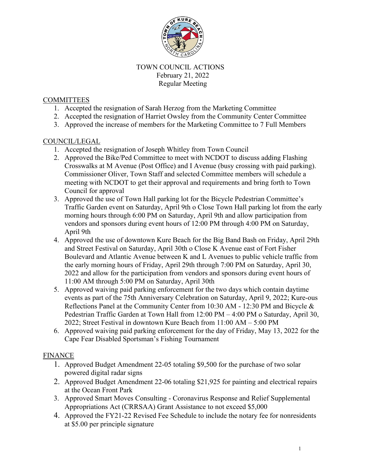

### TOWN COUNCIL ACTIONS February 21, 2022 Regular Meeting

### **COMMITTEES**

- 1. Accepted the resignation of Sarah Herzog from the Marketing Committee
- 2. Accepted the resignation of Harriet Owsley from the Community Center Committee
- 3. Approved the increase of members for the Marketing Committee to 7 Full Members

#### COUNCIL/LEGAL

- 1. Accepted the resignation of Joseph Whitley from Town Council
- 2. Approved the Bike/Ped Committee to meet with NCDOT to discuss adding Flashing Crosswalks at M Avenue (Post Office) and I Avenue (busy crossing with paid parking). Commissioner Oliver, Town Staff and selected Committee members will schedule a meeting with NCDOT to get their approval and requirements and bring forth to Town Council for approval
- 3. Approved the use of Town Hall parking lot for the Bicycle Pedestrian Committee's Traffic Garden event on Saturday, April 9th o Close Town Hall parking lot from the early morning hours through 6:00 PM on Saturday, April 9th and allow participation from vendors and sponsors during event hours of 12:00 PM through 4:00 PM on Saturday, April 9th
- 4. Approved the use of downtown Kure Beach for the Big Band Bash on Friday, April 29th and Street Festival on Saturday, April 30th o Close K Avenue east of Fort Fisher Boulevard and Atlantic Avenue between K and L Avenues to public vehicle traffic from the early morning hours of Friday, April 29th through 7:00 PM on Saturday, April 30, 2022 and allow for the participation from vendors and sponsors during event hours of 11:00 AM through 5:00 PM on Saturday, April 30th
- 5. Approved waiving paid parking enforcement for the two days which contain daytime events as part of the 75th Anniversary Celebration on Saturday, April 9, 2022; Kure-ous Reflections Panel at the Community Center from 10:30 AM - 12:30 PM and Bicycle  $\&$ Pedestrian Traffic Garden at Town Hall from 12:00 PM – 4:00 PM o Saturday, April 30, 2022; Street Festival in downtown Kure Beach from 11:00 AM – 5:00 PM
- 6. Approved waiving paid parking enforcement for the day of Friday, May 13, 2022 for the Cape Fear Disabled Sportsman's Fishing Tournament

# **FINANCE**

- 1. Approved Budget Amendment 22-05 totaling \$9,500 for the purchase of two solar powered digital radar signs
- 2. Approved Budget Amendment 22-06 totaling \$21,925 for painting and electrical repairs at the Ocean Front Park
- 3. Approved Smart Moves Consulting Coronavirus Response and Relief Supplemental Appropriations Act (CRRSAA) Grant Assistance to not exceed \$5,000
- 4. Approved the FY21-22 Revised Fee Schedule to include the notary fee for nonresidents at \$5.00 per principle signature